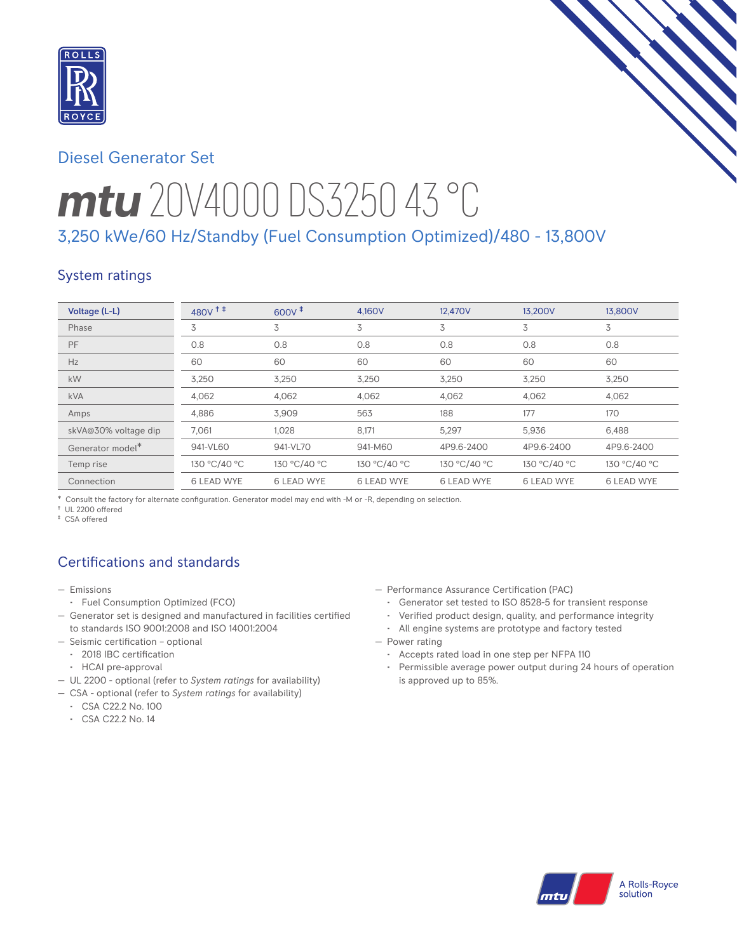

# Diesel Generator Set

# *mtu* 20V4000 DS3250 43 °C

# 3,250 kWe/60 Hz/Standby (Fuel Consumption Optimized)/480 - 13,800V

## System ratings

| Voltage (L-L)        | 480V <sup>++</sup> | $600V^{\ddagger}$ | 4.160V            | 12,470V           | 13.200V           | 13,800V           |
|----------------------|--------------------|-------------------|-------------------|-------------------|-------------------|-------------------|
| Phase                | 3                  | 3                 | 3                 | 3                 | 3                 | 3                 |
| PF                   | 0.8                | 0.8               | 0.8               | 0.8               | 0.8               | 0.8               |
| Hz                   | 60                 | 60                | 60                | 60                | 60                | 60                |
| kW                   | 3,250              | 3,250             | 3,250             | 3,250             | 3,250             | 3,250             |
| <b>kVA</b>           | 4,062              | 4,062             | 4,062             | 4,062             | 4,062             | 4,062             |
| Amps                 | 4.886              | 3.909             | 563               | 188               | 177               | 170               |
| skVA@30% voltage dip | 7.061              | 1.028             | 8,171             | 5,297             | 5,936             | 6.488             |
| Generator model*     | 941-VL60           | 941-VL70          | 941-M60           | 4P9.6-2400        | 4P9.6-2400        | 4P9.6-2400        |
| Temp rise            | 130 °C/40 °C       | 130 °C/40 °C      | 130 °C/40 °C      | 130 °C/40 °C      | 130 °C/40 °C      | 130 °C/40 °C      |
| Connection           | <b>6 LEAD WYE</b>  | <b>6 LEAD WYE</b> | <b>6 LEAD WYE</b> | <b>6 LEAD WYE</b> | <b>6 LEAD WYE</b> | <b>6 LEAD WYE</b> |

\* Consult the factory for alternate configuration. Generator model may end with -M or -R, depending on selection.

† UL 2200 offered

‡ CSA offered

# Certifications and standards

- Emissions
	- Fuel Consumption Optimized (FCO)
- Generator set is designed and manufactured in facilities certified to standards ISO 9001:2008 and ISO 14001:2004
- Seismic certification optional
	- 2018 IBC certification
	- HCAI pre-approval
- UL 2200 optional (refer to *System ratings* for availability)
- CSA optional (refer to *System ratings* for availability)
- CSA C22.2 No. 100
- CSA C22.2 No. 14
- Performance Assurance Certification (PAC)
	- Generator set tested to ISO 8528-5 for transient response
	- Verified product design, quality, and performance integrity
	- All engine systems are prototype and factory tested
- Power rating
	- Accepts rated load in one step per NFPA 110
	- Permissible average power output during 24 hours of operation is approved up to 85%.

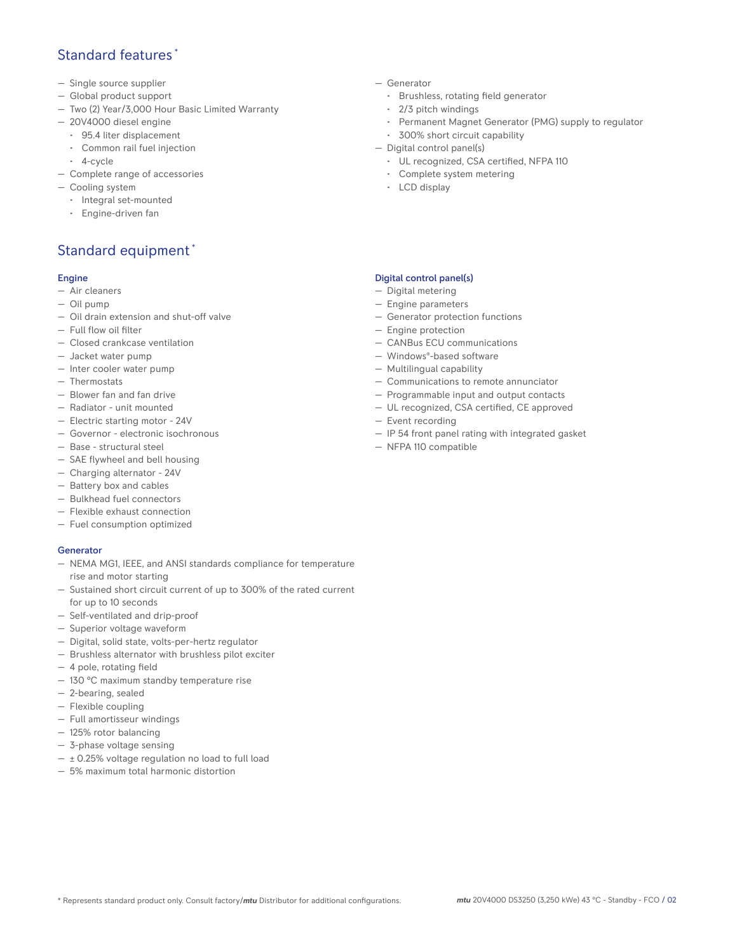## Standard features \*

- Single source supplier
- Global product support
- Two (2) Year/3,000 Hour Basic Limited Warranty
- 20V4000 diesel engine
	- 95.4 liter displacement
	- Common rail fuel injection
- 4-cycle
- Complete range of accessories
- Cooling system
	- Integral set-mounted
	- Engine-driven fan

# Standard equipment \*

#### Engine

- Air cleaners
- Oil pump
- Oil drain extension and shut-off valve
- Full flow oil filter
- Closed crankcase ventilation
- Jacket water pump
- Inter cooler water pump
- Thermostats
- Blower fan and fan drive
- Radiator unit mounted
- Electric starting motor 24V
- Governor electronic isochronous
- Base structural steel
- SAE flywheel and bell housing
- Charging alternator 24V
- Battery box and cables
- Bulkhead fuel connectors
- Flexible exhaust connection
- Fuel consumption optimized

## **Generator**

- NEMA MG1, IEEE, and ANSI standards compliance for temperature rise and motor starting
- Sustained short circuit current of up to 300% of the rated current for up to 10 seconds
- Self-ventilated and drip-proof
- Superior voltage waveform
- Digital, solid state, volts-per-hertz regulator
- Brushless alternator with brushless pilot exciter
- 4 pole, rotating field
- 130 °C maximum standby temperature rise
- 2-bearing, sealed
- Flexible coupling
- Full amortisseur windings
- 125% rotor balancing
- 3-phase voltage sensing
- $\pm$  0.25% voltage regulation no load to full load
- 5% maximum total harmonic distortion
- Generator
	- Brushless, rotating field generator
	- 2/3 pitch windings
	- Permanent Magnet Generator (PMG) supply to regulator
- 300% short circuit capability
- Digital control panel(s)
	- UL recognized, CSA certified, NFPA 110
	- Complete system metering
	- LCD display

### Digital control panel(s)

- Digital metering
- Engine parameters
- Generator protection functions
- Engine protection
- CANBus ECU communications
- Windows®-based software
- Multilingual capability
- Communications to remote annunciator
- Programmable input and output contacts
- UL recognized, CSA certified, CE approved
- Event recording
- IP 54 front panel rating with integrated gasket
- NFPA 110 compatible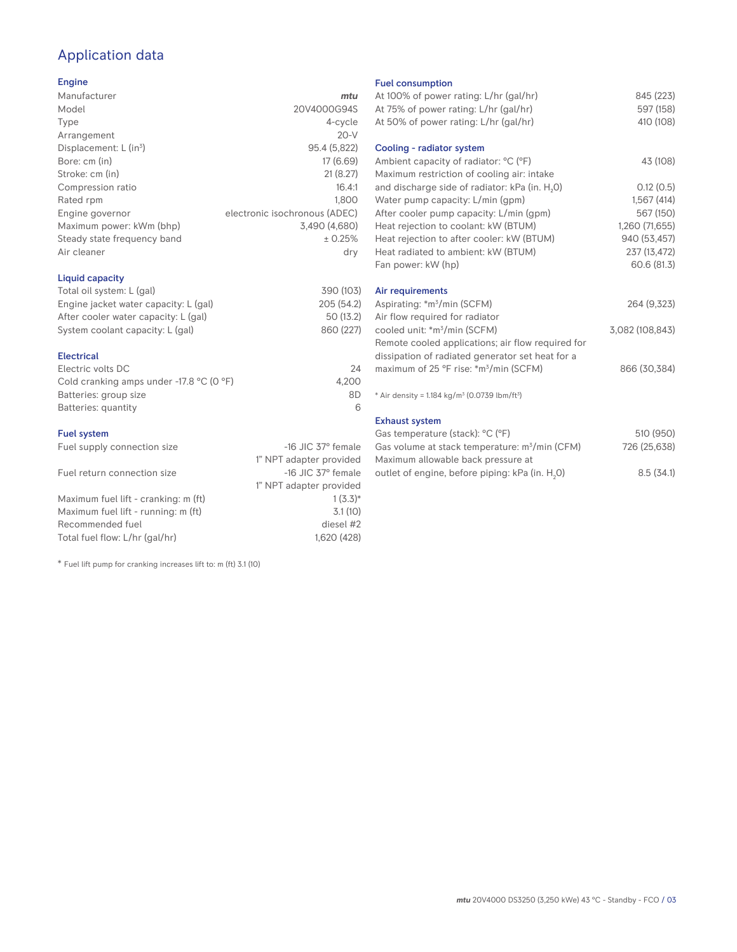# Application data

### Engine

| Manufacturer                         | mtu                           |
|--------------------------------------|-------------------------------|
| Model                                | 20V4000G94S                   |
| Type                                 | 4-cycle                       |
| Arrangement                          | $20-V$                        |
| Displacement: $L$ (in <sup>3</sup> ) | 95.4 (5,822)                  |
| Bore: cm (in)                        | 17 (6.69)                     |
| Stroke: cm (in)                      | 21(8.27)                      |
| Compression ratio                    | 16.4:1                        |
| Rated rpm                            | 1.800                         |
| Engine governor                      | electronic isochronous (ADEC) |
| Maximum power: kWm (bhp)             | 3,490 (4,680)                 |
| Steady state frequency band          | ± 0.25%                       |
| Air cleaner                          | dry                           |
|                                      |                               |

## Liquid capacity

| Total oil system: L (gal)             | 390 (103)  |
|---------------------------------------|------------|
| Engine jacket water capacity: L (gal) | 205 (54.2) |
| After cooler water capacity: L (gal)  | 50 (13.2)  |
| System coolant capacity: L (gal)      | 860 (227)  |
|                                       |            |

### Electrical

| 24    |
|-------|
| 4.200 |
| 8D    |
|       |
|       |

### Fuel system

| Fuel supply connection size          | $-16$ JIC 37 $\degree$ female |
|--------------------------------------|-------------------------------|
|                                      | 1" NPT adapter provided       |
| Fuel return connection size          | $-16$ JIC 37 $\degree$ female |
|                                      | 1" NPT adapter provided       |
| Maximum fuel lift - cranking: m (ft) | $1(3.3)*$                     |
| Maximum fuel lift - running: m (ft)  | 3.1(10)                       |
| Recommended fuel                     | diesel #2                     |
| Total fuel flow: L/hr (gal/hr)       | 1,620 (428)                   |

\* Fuel lift pump for cranking increases lift to: m (ft) 3.1 (10)

#### Fuel consumption

| At 100% of power rating: L/hr (gal/hr)                               | 845 (223)       |
|----------------------------------------------------------------------|-----------------|
| At 75% of power rating: L/hr (gal/hr)                                | 597 (158)       |
| At 50% of power rating: L/hr (gal/hr)                                | 410 (108)       |
|                                                                      |                 |
| Cooling - radiator system                                            |                 |
| Ambient capacity of radiator: °C (°F)                                | 43 (108)        |
| Maximum restriction of cooling air: intake                           |                 |
| and discharge side of radiator: kPa (in. H <sub>2</sub> O)           | 0.12(0.5)       |
| Water pump capacity: L/min (gpm)                                     | 1,567(414)      |
| After cooler pump capacity: L/min (gpm)                              | 567 (150)       |
| Heat rejection to coolant: kW (BTUM)                                 | 1,260 (71,655)  |
| Heat rejection to after cooler: kW (BTUM)                            | 940 (53,457)    |
| Heat radiated to ambient: kW (BTUM)                                  | 237 (13,472)    |
| Fan power: kW (hp)                                                   | 60.6 (81.3)     |
|                                                                      |                 |
| Air requirements                                                     |                 |
| Aspirating: *m <sup>3</sup> /min (SCFM)                              | 264 (9,323)     |
| Air flow required for radiator                                       |                 |
| cooled unit: *m <sup>3</sup> /min (SCFM)                             | 3,082 (108,843) |
| Remote cooled applications; air flow required for                    |                 |
| dissipation of radiated generator set heat for a                     |                 |
| maximum of 25 °F rise: *m <sup>3</sup> /min (SCFM)                   | 866 (30,384)    |
|                                                                      |                 |
| * Air density = $1.184 \text{ kg/m}^3$ (0.0739 lbm/ft <sup>3</sup> ) |                 |
|                                                                      |                 |
| <b>Exhaust system</b>                                                |                 |
| Gas temperature (stack): °C (°F)                                     | 510 (950)       |
| Gas volume at stack temperature: m <sup>3</sup> /min (CFM)           | 726 (25,638)    |

| Gas volume at stack temperature: m <sup>3</sup> /min (CFM)  | 726 (25,638) |
|-------------------------------------------------------------|--------------|
| Maximum allowable back pressure at                          |              |
| outlet of engine, before piping: kPa (in. H <sub>2</sub> O) | 8.5(34.1)    |